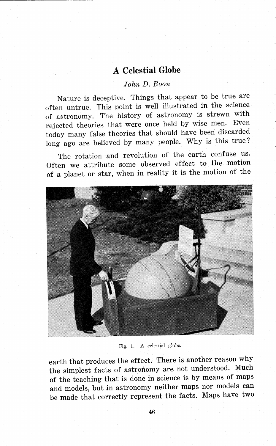## **A Celestial Globe**

## *John D. Boon*

Nature is deceptive. Things that appear to be true are often untrue. This point is well illustrated in the science of astronomy. The history of astronomy is strewn with rejected theories that were once held by wise men. Even today many false theories that should have beeri discarded long ago are believed by many people. Why is this true?

The rotation and revolution of the earth confuse us. Often we attribute some observed effect to the motion of a planet or star, when in reality it is the motion of the



Fig. 1. A celestial globe.

earth that produces the effect. There is another reason why the simplest facts of astronomy are not understood. Much of the teaching that is done in science is by means of maps and models, but in astronomy neither maps nor models can be made that correctly represent the facts. Maps have two